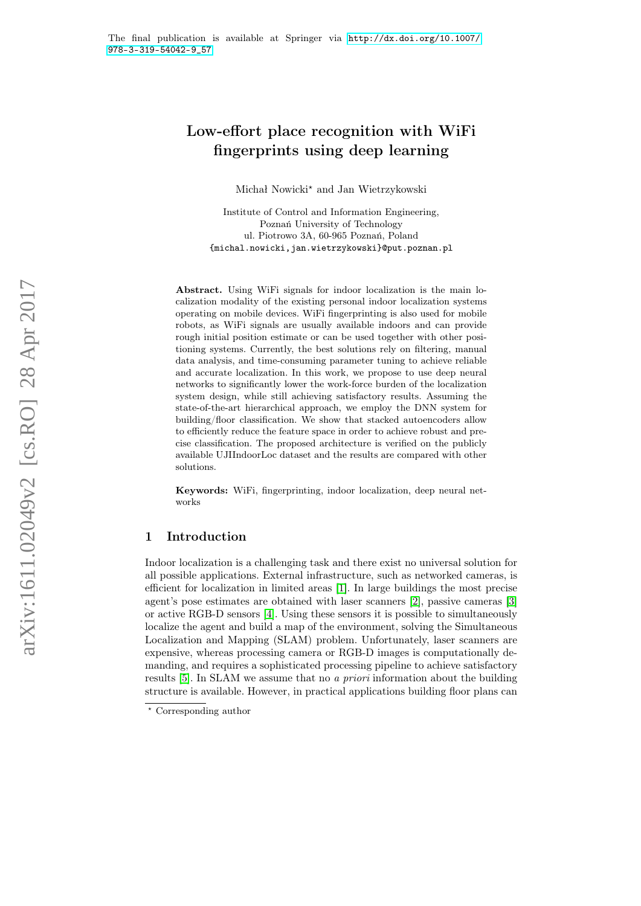# Low-effort place recognition with WiFi fingerprints using deep learning

Michał Nowicki? and Jan Wietrzykowski

Institute of Control and Information Engineering, Poznań University of Technology ul. Piotrowo 3A, 60-965 Poznań, Poland {michal.nowicki,jan.wietrzykowski}@put.poznan.pl

Abstract. Using WiFi signals for indoor localization is the main localization modality of the existing personal indoor localization systems operating on mobile devices. WiFi fingerprinting is also used for mobile robots, as WiFi signals are usually available indoors and can provide rough initial position estimate or can be used together with other positioning systems. Currently, the best solutions rely on filtering, manual data analysis, and time-consuming parameter tuning to achieve reliable and accurate localization. In this work, we propose to use deep neural networks to significantly lower the work-force burden of the localization system design, while still achieving satisfactory results. Assuming the state-of-the-art hierarchical approach, we employ the DNN system for building/floor classification. We show that stacked autoencoders allow to efficiently reduce the feature space in order to achieve robust and precise classification. The proposed architecture is verified on the publicly available UJIIndoorLoc dataset and the results are compared with other solutions.

Keywords: WiFi, fingerprinting, indoor localization, deep neural networks

# 1 Introduction

Indoor localization is a challenging task and there exist no universal solution for all possible applications. External infrastructure, such as networked cameras, is efficient for localization in limited areas [\[1\]](#page-8-0). In large buildings the most precise agent's pose estimates are obtained with laser scanners [\[2\]](#page-8-1), passive cameras [\[3\]](#page-8-2) or active RGB-D sensors [\[4\]](#page-8-3). Using these sensors it is possible to simultaneously localize the agent and build a map of the environment, solving the Simultaneous Localization and Mapping (SLAM) problem. Unfortunately, laser scanners are expensive, whereas processing camera or RGB-D images is computationally demanding, and requires a sophisticated processing pipeline to achieve satisfactory results [\[5\]](#page-8-4). In SLAM we assume that no a priori information about the building structure is available. However, in practical applications building floor plans can

 $^\star$  Corresponding author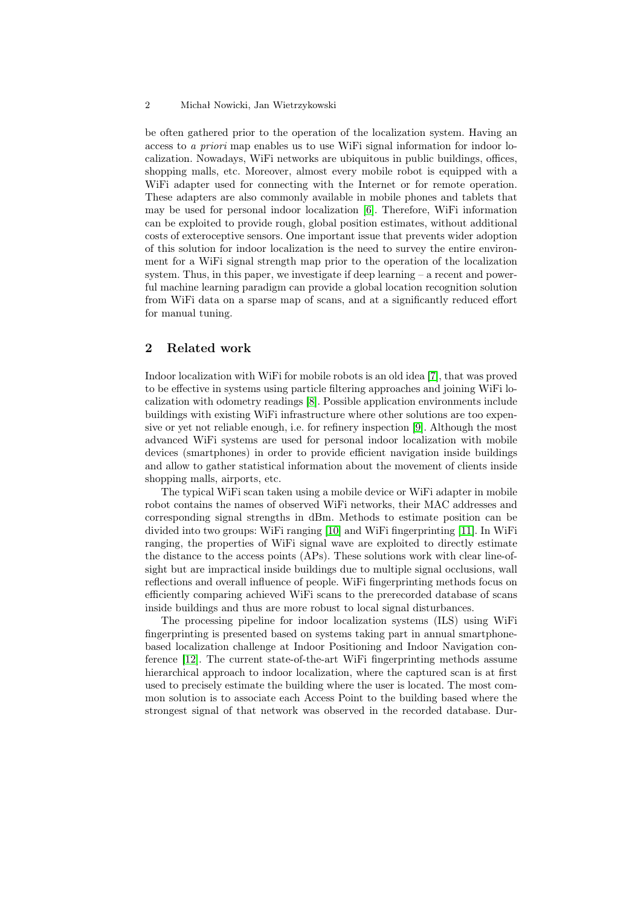#### 2 Michał Nowicki, Jan Wietrzykowski

be often gathered prior to the operation of the localization system. Having an access to a priori map enables us to use WiFi signal information for indoor localization. Nowadays, WiFi networks are ubiquitous in public buildings, offices, shopping malls, etc. Moreover, almost every mobile robot is equipped with a WiFi adapter used for connecting with the Internet or for remote operation. These adapters are also commonly available in mobile phones and tablets that may be used for personal indoor localization [\[6\]](#page-8-5). Therefore, WiFi information can be exploited to provide rough, global position estimates, without additional costs of exteroceptive sensors. One important issue that prevents wider adoption of this solution for indoor localization is the need to survey the entire environment for a WiFi signal strength map prior to the operation of the localization system. Thus, in this paper, we investigate if deep learning – a recent and powerful machine learning paradigm can provide a global location recognition solution from WiFi data on a sparse map of scans, and at a significantly reduced effort for manual tuning.

# 2 Related work

Indoor localization with WiFi for mobile robots is an old idea [\[7\]](#page-8-6), that was proved to be effective in systems using particle filtering approaches and joining WiFi localization with odometry readings [\[8\]](#page-8-7). Possible application environments include buildings with existing WiFi infrastructure where other solutions are too expensive or yet not reliable enough, i.e. for refinery inspection [\[9\]](#page-8-8). Although the most advanced WiFi systems are used for personal indoor localization with mobile devices (smartphones) in order to provide efficient navigation inside buildings and allow to gather statistical information about the movement of clients inside shopping malls, airports, etc.

The typical WiFi scan taken using a mobile device or WiFi adapter in mobile robot contains the names of observed WiFi networks, their MAC addresses and corresponding signal strengths in dBm. Methods to estimate position can be divided into two groups: WiFi ranging [\[10\]](#page-8-9) and WiFi fingerprinting [\[11\]](#page-8-10). In WiFi ranging, the properties of WiFi signal wave are exploited to directly estimate the distance to the access points (APs). These solutions work with clear line-ofsight but are impractical inside buildings due to multiple signal occlusions, wall reflections and overall influence of people. WiFi fingerprinting methods focus on efficiently comparing achieved WiFi scans to the prerecorded database of scans inside buildings and thus are more robust to local signal disturbances.

The processing pipeline for indoor localization systems (ILS) using WiFi fingerprinting is presented based on systems taking part in annual smartphonebased localization challenge at Indoor Positioning and Indoor Navigation conference [\[12\]](#page-9-0). The current state-of-the-art WiFi fingerprinting methods assume hierarchical approach to indoor localization, where the captured scan is at first used to precisely estimate the building where the user is located. The most common solution is to associate each Access Point to the building based where the strongest signal of that network was observed in the recorded database. Dur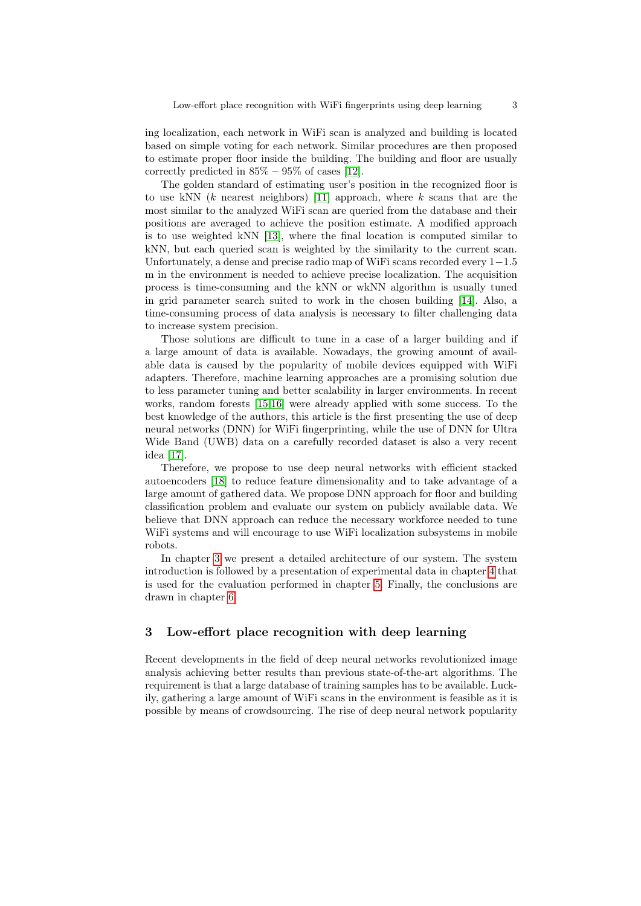ing localization, each network in WiFi scan is analyzed and building is located based on simple voting for each network. Similar procedures are then proposed to estimate proper floor inside the building. The building and floor are usually correctly predicted in  $85\% - 95\%$  of cases [\[12\]](#page-9-0).

The golden standard of estimating user's position in the recognized floor is to use kNN  $(k$  nearest neighbors) [\[11\]](#page-8-10) approach, where  $k$  scans that are the most similar to the analyzed WiFi scan are queried from the database and their positions are averaged to achieve the position estimate. A modified approach is to use weighted kNN [\[13\]](#page-9-1), where the final location is computed similar to kNN, but each queried scan is weighted by the similarity to the current scan. Unfortunately, a dense and precise radio map of WiFi scans recorded every 1−1.5 m in the environment is needed to achieve precise localization. The acquisition process is time-consuming and the kNN or wkNN algorithm is usually tuned in grid parameter search suited to work in the chosen building [\[14\]](#page-9-2). Also, a time-consuming process of data analysis is necessary to filter challenging data to increase system precision.

Those solutions are difficult to tune in a case of a larger building and if a large amount of data is available. Nowadays, the growing amount of available data is caused by the popularity of mobile devices equipped with WiFi adapters. Therefore, machine learning approaches are a promising solution due to less parameter tuning and better scalability in larger environments. In recent works, random forests [\[15,](#page-9-3)[16\]](#page-9-4) were already applied with some success. To the best knowledge of the authors, this article is the first presenting the use of deep neural networks (DNN) for WiFi fingerprinting, while the use of DNN for Ultra Wide Band (UWB) data on a carefully recorded dataset is also a very recent idea [\[17\]](#page-9-5).

Therefore, we propose to use deep neural networks with efficient stacked autoencoders [\[18\]](#page-9-6) to reduce feature dimensionality and to take advantage of a large amount of gathered data. We propose DNN approach for floor and building classification problem and evaluate our system on publicly available data. We believe that DNN approach can reduce the necessary workforce needed to tune WiFi systems and will encourage to use WiFi localization subsystems in mobile robots.

In chapter [3](#page-2-0) we present a detailed architecture of our system. The system introduction is followed by a presentation of experimental data in chapter [4](#page-5-0) that is used for the evaluation performed in chapter [5.](#page-5-1) Finally, the conclusions are drawn in chapter [6.](#page-7-0)

## <span id="page-2-0"></span>3 Low-effort place recognition with deep learning

Recent developments in the field of deep neural networks revolutionized image analysis achieving better results than previous state-of-the-art algorithms. The requirement is that a large database of training samples has to be available. Luckily, gathering a large amount of WiFi scans in the environment is feasible as it is possible by means of crowdsourcing. The rise of deep neural network popularity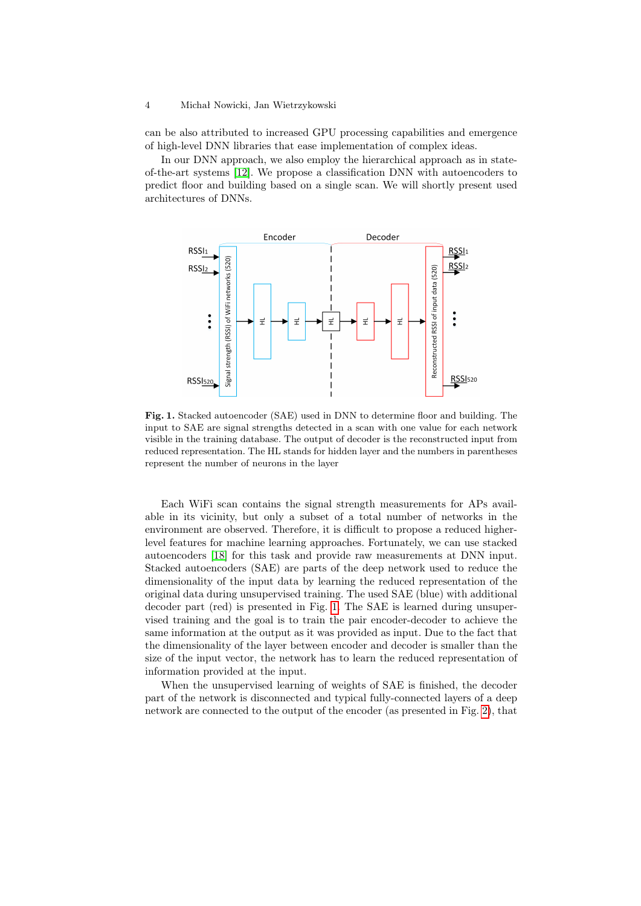#### 4 Michał Nowicki, Jan Wietrzykowski

can be also attributed to increased GPU processing capabilities and emergence of high-level DNN libraries that ease implementation of complex ideas.

In our DNN approach, we also employ the hierarchical approach as in stateof-the-art systems [\[12\]](#page-9-0). We propose a classification DNN with autoencoders to predict floor and building based on a single scan. We will shortly present used architectures of DNNs.



<span id="page-3-0"></span>Fig. 1. Stacked autoencoder (SAE) used in DNN to determine floor and building. The input to SAE are signal strengths detected in a scan with one value for each network visible in the training database. The output of decoder is the reconstructed input from reduced representation. The HL stands for hidden layer and the numbers in parentheses represent the number of neurons in the layer

Each WiFi scan contains the signal strength measurements for APs available in its vicinity, but only a subset of a total number of networks in the environment are observed. Therefore, it is difficult to propose a reduced higherlevel features for machine learning approaches. Fortunately, we can use stacked autoencoders [\[18\]](#page-9-6) for this task and provide raw measurements at DNN input. Stacked autoencoders (SAE) are parts of the deep network used to reduce the dimensionality of the input data by learning the reduced representation of the original data during unsupervised training. The used SAE (blue) with additional decoder part (red) is presented in Fig. [1.](#page-3-0) The SAE is learned during unsupervised training and the goal is to train the pair encoder-decoder to achieve the same information at the output as it was provided as input. Due to the fact that the dimensionality of the layer between encoder and decoder is smaller than the size of the input vector, the network has to learn the reduced representation of information provided at the input.

When the unsupervised learning of weights of SAE is finished, the decoder part of the network is disconnected and typical fully-connected layers of a deep network are connected to the output of the encoder (as presented in Fig. [2\)](#page-4-0), that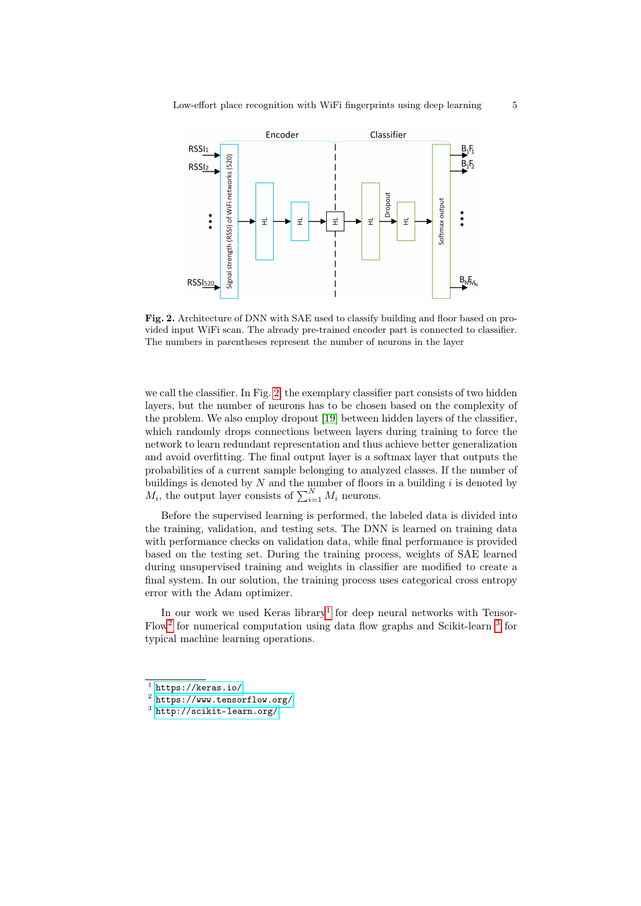

<span id="page-4-0"></span>Fig. 2. Architecture of DNN with SAE used to classify building and floor based on provided input WiFi scan. The already pre-trained encoder part is connected to classifier. The numbers in parentheses represent the number of neurons in the layer

we call the classifier. In Fig. [2,](#page-4-0) the exemplary classifier part consists of two hidden layers, but the number of neurons has to be chosen based on the complexity of the problem. We also employ dropout [\[19\]](#page-9-7) between hidden layers of the classifier, which randomly drops connections between layers during training to force the network to learn redundant representation and thus achieve better generalization and avoid overfitting. The final output layer is a softmax layer that outputs the probabilities of a current sample belonging to analyzed classes. If the number of buildings is denoted by  $N$  and the number of floors in a building  $i$  is denoted by  $M_i$ , the output layer consists of  $\sum_{i=1}^{N} M_i$  neurons.

Before the supervised learning is performed, the labeled data is divided into the training, validation, and testing sets. The DNN is learned on training data with performance checks on validation data, while final performance is provided based on the testing set. During the training process, weights of SAE learned during unsupervised training and weights in classifier are modified to create a final system. In our solution, the training process uses categorical cross entropy error with the Adam optimizer.

In our work we used Keras library<sup>[1](#page-4-1)</sup> for deep neural networks with Tensor-Flow<sup>[2](#page-4-2)</sup> for numerical computation using data flow graphs and Scikit-learn <sup>[3](#page-4-3)</sup> for typical machine learning operations.

<span id="page-4-1"></span> $^1$  <https://keras.io/>

<span id="page-4-2"></span> $^2$  <https://www.tensorflow.org/>

<span id="page-4-3"></span> $^3$  <http://scikit-learn.org/>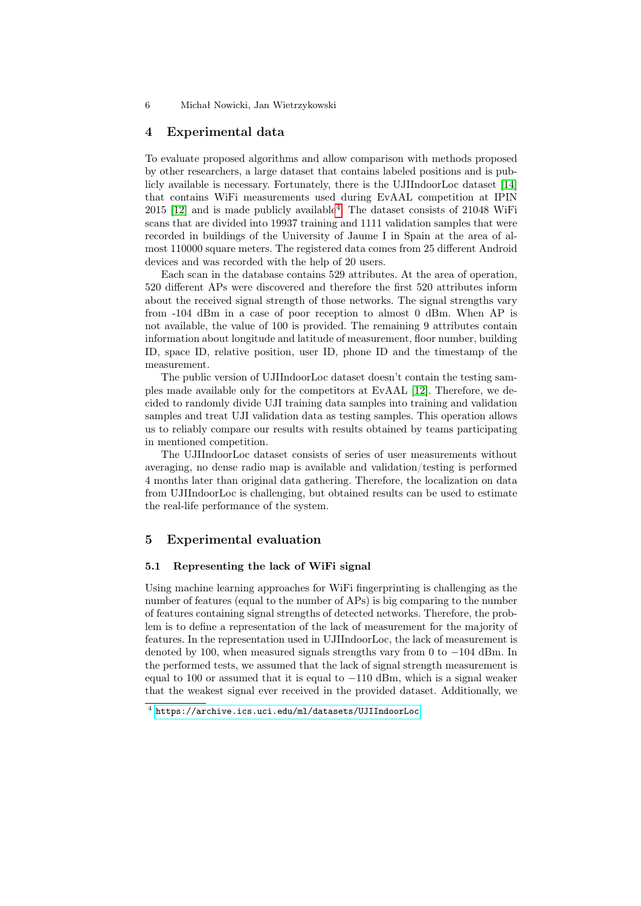6 Michał Nowicki, Jan Wietrzykowski

## <span id="page-5-0"></span>4 Experimental data

To evaluate proposed algorithms and allow comparison with methods proposed by other researchers, a large dataset that contains labeled positions and is publicly available is necessary. Fortunately, there is the UJIIndoorLoc dataset [\[14\]](#page-9-2) that contains WiFi measurements used during EvAAL competition at IPIN 2015 [\[12\]](#page-9-0) and is made publicly available[4](#page-5-2) . The dataset consists of 21048 WiFi scans that are divided into 19937 training and 1111 validation samples that were recorded in buildings of the University of Jaume I in Spain at the area of almost 110000 square meters. The registered data comes from 25 different Android devices and was recorded with the help of 20 users.

Each scan in the database contains 529 attributes. At the area of operation, 520 different APs were discovered and therefore the first 520 attributes inform about the received signal strength of those networks. The signal strengths vary from -104 dBm in a case of poor reception to almost 0 dBm. When AP is not available, the value of 100 is provided. The remaining 9 attributes contain information about longitude and latitude of measurement, floor number, building ID, space ID, relative position, user ID, phone ID and the timestamp of the measurement.

The public version of UJIIndoorLoc dataset doesn't contain the testing samples made available only for the competitors at EvAAL [\[12\]](#page-9-0). Therefore, we decided to randomly divide UJI training data samples into training and validation samples and treat UJI validation data as testing samples. This operation allows us to reliably compare our results with results obtained by teams participating in mentioned competition.

The UJIIndoorLoc dataset consists of series of user measurements without averaging, no dense radio map is available and validation/testing is performed 4 months later than original data gathering. Therefore, the localization on data from UJIIndoorLoc is challenging, but obtained results can be used to estimate the real-life performance of the system.

## <span id="page-5-1"></span>5 Experimental evaluation

#### 5.1 Representing the lack of WiFi signal

Using machine learning approaches for WiFi fingerprinting is challenging as the number of features (equal to the number of APs) is big comparing to the number of features containing signal strengths of detected networks. Therefore, the problem is to define a representation of the lack of measurement for the majority of features. In the representation used in UJIIndoorLoc, the lack of measurement is denoted by 100, when measured signals strengths vary from 0 to −104 dBm. In the performed tests, we assumed that the lack of signal strength measurement is equal to 100 or assumed that it is equal to  $-110$  dBm, which is a signal weaker that the weakest signal ever received in the provided dataset. Additionally, we

<span id="page-5-2"></span> $^4$  <https://archive.ics.uci.edu/ml/datasets/UJIIndoorLoc>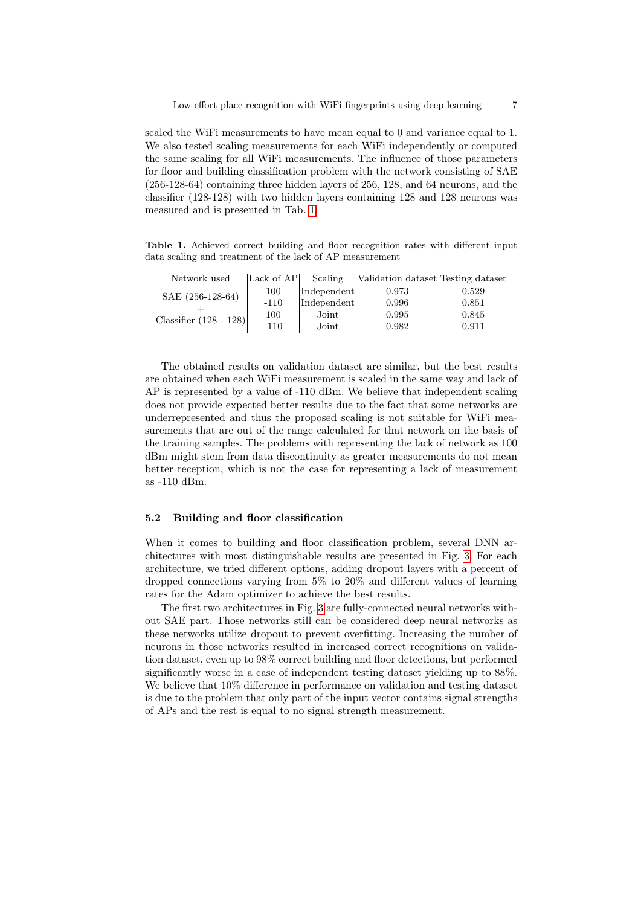scaled the WiFi measurements to have mean equal to 0 and variance equal to 1. We also tested scaling measurements for each WiFi independently or computed the same scaling for all WiFi measurements. The influence of those parameters for floor and building classification problem with the network consisting of SAE (256-128-64) containing three hidden layers of 256, 128, and 64 neurons, and the classifier (128-128) with two hidden layers containing 128 and 128 neurons was measured and is presented in Tab. [1.](#page-6-0)

<span id="page-6-0"></span>Table 1. Achieved correct building and floor recognition rates with different input data scaling and treatment of the lack of AP measurement

| Network used             | Lack of AP | Scaling     | Validation dataset Testing dataset |       |
|--------------------------|------------|-------------|------------------------------------|-------|
| SAE (256-128-64)         | 100        | Independent | 0.973                              | 0.529 |
|                          | $-110$     | Independent | 0.996                              | 0.851 |
| Classifier $(128 - 128)$ | 100        | Joint       | 0.995                              | 0.845 |
|                          | $-110$     | Joint       | 0.982                              | 0.911 |

The obtained results on validation dataset are similar, but the best results are obtained when each WiFi measurement is scaled in the same way and lack of AP is represented by a value of -110 dBm. We believe that independent scaling does not provide expected better results due to the fact that some networks are underrepresented and thus the proposed scaling is not suitable for WiFi measurements that are out of the range calculated for that network on the basis of the training samples. The problems with representing the lack of network as 100 dBm might stem from data discontinuity as greater measurements do not mean better reception, which is not the case for representing a lack of measurement as -110 dBm.

### 5.2 Building and floor classification

When it comes to building and floor classification problem, several DNN architectures with most distinguishable results are presented in Fig. [3.](#page-7-1) For each architecture, we tried different options, adding dropout layers with a percent of dropped connections varying from 5% to 20% and different values of learning rates for the Adam optimizer to achieve the best results.

The first two architectures in Fig. [3](#page-7-1) are fully-connected neural networks without SAE part. Those networks still can be considered deep neural networks as these networks utilize dropout to prevent overfitting. Increasing the number of neurons in those networks resulted in increased correct recognitions on validation dataset, even up to 98% correct building and floor detections, but performed significantly worse in a case of independent testing dataset yielding up to 88%. We believe that 10% difference in performance on validation and testing dataset is due to the problem that only part of the input vector contains signal strengths of APs and the rest is equal to no signal strength measurement.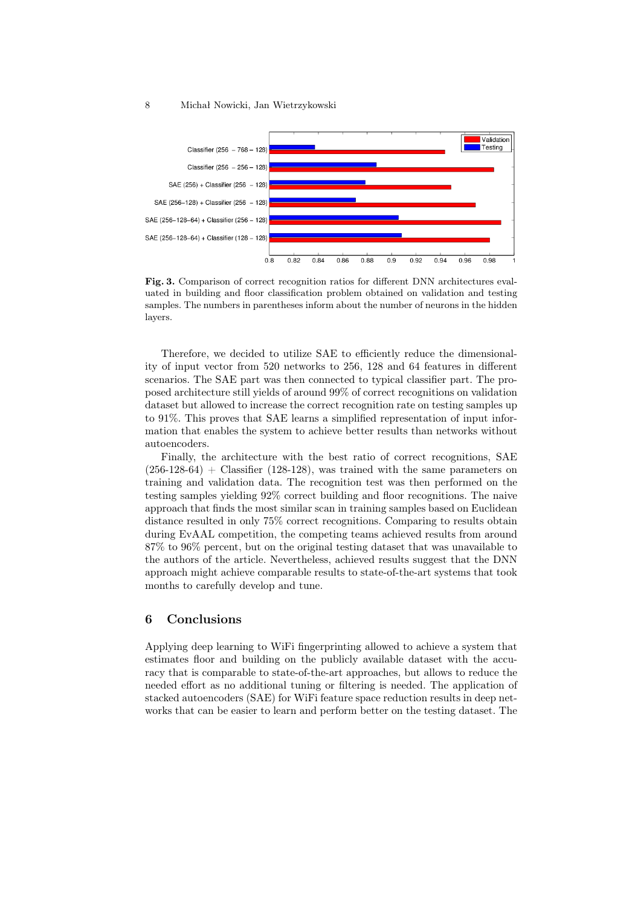

<span id="page-7-1"></span>Fig. 3. Comparison of correct recognition ratios for different DNN architectures evaluated in building and floor classification problem obtained on validation and testing samples. The numbers in parentheses inform about the number of neurons in the hidden layers.

Therefore, we decided to utilize SAE to efficiently reduce the dimensionality of input vector from 520 networks to 256, 128 and 64 features in different scenarios. The SAE part was then connected to typical classifier part. The proposed architecture still yields of around 99% of correct recognitions on validation dataset but allowed to increase the correct recognition rate on testing samples up to 91%. This proves that SAE learns a simplified representation of input information that enables the system to achieve better results than networks without autoencoders.

Finally, the architecture with the best ratio of correct recognitions, SAE  $(256-128-64)$  + Classifier (128-128), was trained with the same parameters on training and validation data. The recognition test was then performed on the testing samples yielding 92% correct building and floor recognitions. The naive approach that finds the most similar scan in training samples based on Euclidean distance resulted in only 75% correct recognitions. Comparing to results obtain during EvAAL competition, the competing teams achieved results from around 87% to 96% percent, but on the original testing dataset that was unavailable to the authors of the article. Nevertheless, achieved results suggest that the DNN approach might achieve comparable results to state-of-the-art systems that took months to carefully develop and tune.

# <span id="page-7-0"></span>6 Conclusions

Applying deep learning to WiFi fingerprinting allowed to achieve a system that estimates floor and building on the publicly available dataset with the accuracy that is comparable to state-of-the-art approaches, but allows to reduce the needed effort as no additional tuning or filtering is needed. The application of stacked autoencoders (SAE) for WiFi feature space reduction results in deep networks that can be easier to learn and perform better on the testing dataset. The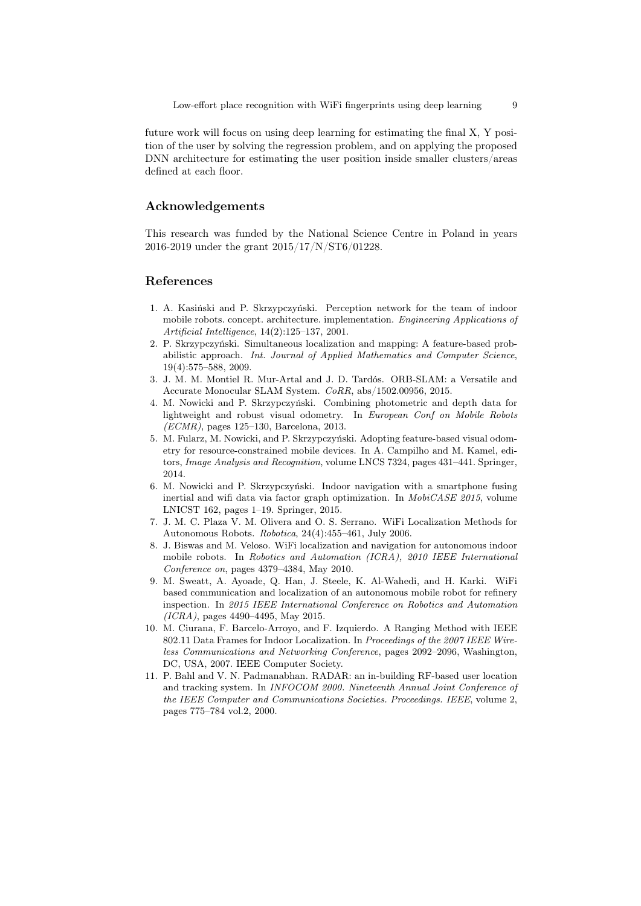future work will focus on using deep learning for estimating the final X, Y position of the user by solving the regression problem, and on applying the proposed DNN architecture for estimating the user position inside smaller clusters/areas defined at each floor.

# Acknowledgements

This research was funded by the National Science Centre in Poland in years 2016-2019 under the grant 2015/17/N/ST6/01228.

# References

- <span id="page-8-0"></span>1. A. Kasiński and P. Skrzypczyński. Perception network for the team of indoor mobile robots. concept. architecture. implementation. Engineering Applications of Artificial Intelligence, 14(2):125–137, 2001.
- <span id="page-8-1"></span>2. P. Skrzypczyński. Simultaneous localization and mapping: A feature-based probabilistic approach. Int. Journal of Applied Mathematics and Computer Science, 19(4):575–588, 2009.
- <span id="page-8-2"></span>3. J. M. M. Montiel R. Mur-Artal and J. D. Tardós. ORB-SLAM: a Versatile and Accurate Monocular SLAM System. CoRR, abs/1502.00956, 2015.
- <span id="page-8-3"></span>4. M. Nowicki and P. Skrzypczyński. Combining photometric and depth data for lightweight and robust visual odometry. In European Conf on Mobile Robots  $(ECMR)$ , pages 125–130, Barcelona, 2013.
- <span id="page-8-4"></span>5. M. Fularz, M. Nowicki, and P. Skrzypczyński. Adopting feature-based visual odometry for resource-constrained mobile devices. In A. Campilho and M. Kamel, editors, Image Analysis and Recognition, volume LNCS 7324, pages 431–441. Springer, 2014.
- <span id="page-8-5"></span>6. M. Nowicki and P. Skrzypczyński. Indoor navigation with a smartphone fusing inertial and wifi data via factor graph optimization. In *MobiCASE 2015*, volume LNICST 162, pages 1–19. Springer, 2015.
- <span id="page-8-6"></span>7. J. M. C. Plaza V. M. Olivera and O. S. Serrano. WiFi Localization Methods for Autonomous Robots. Robotica, 24(4):455–461, July 2006.
- <span id="page-8-7"></span>8. J. Biswas and M. Veloso. WiFi localization and navigation for autonomous indoor mobile robots. In Robotics and Automation (ICRA), 2010 IEEE International Conference on, pages 4379–4384, May 2010.
- <span id="page-8-8"></span>9. M. Sweatt, A. Ayoade, Q. Han, J. Steele, K. Al-Wahedi, and H. Karki. WiFi based communication and localization of an autonomous mobile robot for refinery inspection. In 2015 IEEE International Conference on Robotics and Automation (ICRA), pages 4490–4495, May 2015.
- <span id="page-8-9"></span>10. M. Ciurana, F. Barcelo-Arroyo, and F. Izquierdo. A Ranging Method with IEEE 802.11 Data Frames for Indoor Localization. In Proceedings of the 2007 IEEE Wireless Communications and Networking Conference, pages 2092–2096, Washington, DC, USA, 2007. IEEE Computer Society.
- <span id="page-8-10"></span>11. P. Bahl and V. N. Padmanabhan. RADAR: an in-building RF-based user location and tracking system. In INFOCOM 2000. Nineteenth Annual Joint Conference of the IEEE Computer and Communications Societies. Proceedings. IEEE, volume 2, pages 775–784 vol.2, 2000.